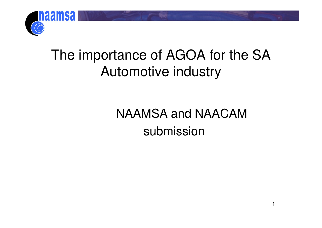

## The importance of AGOA for the SA Automotive industry

NAAMSA and NAACAM submission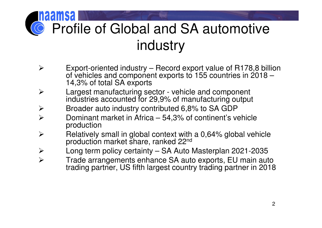# Profile of Global and SA automotive industry

- $\blacktriangleright$  Export-oriented industry – Record export value of R178,8 billion of vehicles and component exports to 155 countries in 2018 – 14,3% of total SA exports
- **Example 1** Largest manufacturing sector vehicle and component<br>industries accounted for 29.9% of manufacturing output  $\blacktriangleright$ industries accounted for 29,9% of manufacturing output
- $\blacktriangleright$ Broader auto industry contributed 6,8% to SA GDP
- $\blacktriangleright$  Dominant market in Africa – 54,3% of continent's vehicle production
- $\triangleright$  Relatively small in global context with a 0,64% global vehicle production market share, ranked 22<sup>nd</sup>  $\blacktriangleright$
- $\blacktriangleright$ Long term policy certainty – SA Auto Masterplan 2021-2035
- $\blacktriangleright$  Trade arrangements enhance SA auto exports, EU main auto trading partner, US fifth largest country trading partner in 2018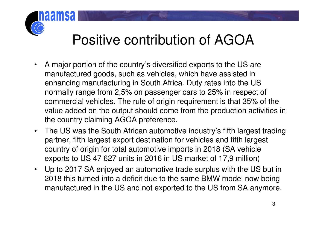## Positive contribution of AGOA

- • A major portion of the country's diversified exports to the US are manufactured goods, such as vehicles, which have assisted in enhancing manufacturing in South Africa. Duty rates into the US normally range from 2,5% on passenger cars to 25% in respect of commercial vehicles. The rule of origin requirement is that 35% of the value added on the output should come from the production activities in the country claiming AGOA preference.
- $\bullet$  The US was the South African automotive industry's fifth largest trading partner, fifth largest export destination for vehicles and fifth largest country of origin for total automotive imports in 2018 (SA vehicle exports to US 47 627 units in 2016 in US market of 17,9 million)
- $\bullet$  Up to 2017 SA enjoyed an automotive trade surplus with the US but in 2018 this turned into a deficit due to the same BMW model now being manufactured in the US and not exported to the US from SA anymore.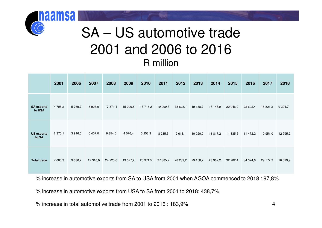### SA – US automotive trade2001 and 2006 to 2016R million

|                             | 2001        | 2006    | 2007     | 2008        | 2009     | 2010        | 2011        | 2012     | 2013     | 2014     | 2015     | 2016     | 2017     | 2018      |
|-----------------------------|-------------|---------|----------|-------------|----------|-------------|-------------|----------|----------|----------|----------|----------|----------|-----------|
| <b>SA exports</b><br>to USA | 4 705,2     | 5769,7  | 6903,0   | 17 871,1    | 15 000,8 | 15 718,2    | 19 099,7    | 18 623,1 | 19 138,7 | 17 145,0 | 20 946,9 | 22 602,4 | 18 821,2 | 9 3 0 4,7 |
| <b>US exports</b><br>to SA  | 2 3 7 5 , 1 | 3916,5  | 5 407,0  | 6 3 5 4 , 5 | 4 0 76,4 | 5 2 5 3 , 3 | 8 2 8 5 , 5 | 9616,1   | 10 020,0 | 11 817,2 | 11 835,5 | 11 472,2 | 10 951,0 | 12 795,2  |
| <b>Total trade</b>          | 7 080,3     | 9 686,2 | 12 310,0 | 24 225,6    | 19 077,2 | 20 971,5    | 27 385,2    | 28 239,2 | 29 158,7 | 28 962,2 | 32 782,4 | 34 074,6 | 29 772,2 | 20 099,9  |

% increase in automotive exports from SA to USA from 2001 when AGOA commenced to 2018 : 97,8%

% increase in automotive exports from USA to SA from 2001 to 2018: 438,7%

% increase in total automotive trade from 2001 to 2016 : 183,9%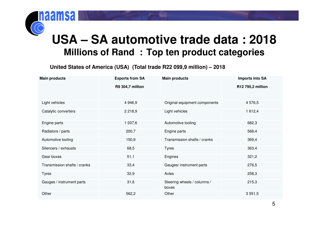#### **USA – SA automotive trade data : 2018Millions of Rand : Top ten product categories**

**United States of America (USA) (Total trade R22 099,9 million) – 2018**

| <b>Main products</b>         | <b>Exports from SA</b> | <b>Main products</b>                 | <b>Imports into SA</b> |  |  |
|------------------------------|------------------------|--------------------------------------|------------------------|--|--|
|                              | R9 304,7 million       |                                      | R12 795,2 million      |  |  |
| Light vehicles               | 4 9 4 6, 9             | Original equipment components        | 4 576,5                |  |  |
| Catalytic converters         | 2 2 1 8 , 9            | Light vehicles                       | 1 612,4                |  |  |
| Engine parts                 | 1 007,6                | Automotive tooling                   | 682,3                  |  |  |
| Radiators / parts            | 200,7                  | Engine parts                         | 568,4                  |  |  |
| Automotive tooling           | 150,9                  | Transmission shafts / cranks         | 369,4                  |  |  |
| Silencers / exhausts         | 68,5                   | <b>Tyres</b>                         | 363,4                  |  |  |
| Gear boxes                   | 51,1                   | Engines                              | 321,2                  |  |  |
| Transmission shafts / cranks | 33,4                   | Gauges/ instrument parts             | 276,5                  |  |  |
| <b>Tyres</b>                 | 32,9                   | Axles                                | 258,3                  |  |  |
| Gauges / instrument parts    | 31,6                   | Steering wheels / columns /<br>boxes | 215,3                  |  |  |
| Other                        | 562,2                  | Other                                | 3 5 5 1 , 5            |  |  |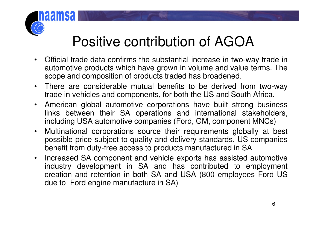## Positive contribution of AGOA

- • Official trade data confirms the substantial increase in two-way trade in automotive products which have grown in volume and value terms. Thescope and composition of products traded has broadened.
- $\bullet$ There are considerable mutual benefits to be derived from two-way<br>trade in vehicles and components for both the US and South Africa trade in vehicles and components, for both the US and South Africa.
- $\bullet$  American global automotive corporations have built strong business links between their SA operations and international stakeholders, including USA automotive companies (Ford, GM, component MNCs)
- $\bullet$  Multinational corporations source their requirements globally at best possible price subject to quality and delivery standards. US companiesbenefit from duty-free access to products manufactured in SA
- $\bullet$  Increased SA component and vehicle exports has assisted automotive industry development in SA and has contributed to employment creation and retention in both SA and USA (800 employees Ford USdue to Ford engine manufacture in SA)